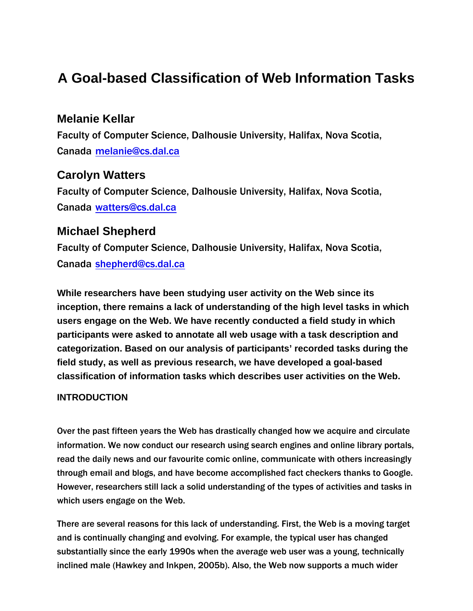# **A Goal-based Classification of Web Information Tasks**

# **Melanie Kellar**

Faculty of Computer Science, Dalhousie University, Halifax, Nova Scotia, Canada melanie@cs.dal.ca

# **Carolyn Watters**

Faculty of Computer Science, Dalhousie University, Halifax, Nova Scotia, Canada watters@cs.dal.ca

# **Michael Shepherd**

Faculty of Computer Science, Dalhousie University, Halifax, Nova Scotia, Canada shepherd@cs.dal.ca

**While researchers have been studying user activity on the Web since its inception, there remains a lack of understanding of the high level tasks in which users engage on the Web. We have recently conducted a field study in which participants were asked to annotate all web usage with a task description and categorization. Based on our analysis of participants' recorded tasks during the field study, as well as previous research, we have developed a goal-based classification of information tasks which describes user activities on the Web.**

## **INTRODUCTION**

Over the past fifteen years the Web has drastically changed how we acquire and circulate information. We now conduct our research using search engines and online library portals, read the daily news and our favourite comic online, communicate with others increasingly through email and blogs, and have become accomplished fact checkers thanks to Google. However, researchers still lack a solid understanding of the types of activities and tasks in which users engage on the Web.

There are several reasons for this lack of understanding. First, the Web is a moving target and is continually changing and evolving. For example, the typical user has changed substantially since the early 1990s when the average web user was a young, technically inclined male (Hawkey and Inkpen, 2005b). Also, the Web now supports a much wider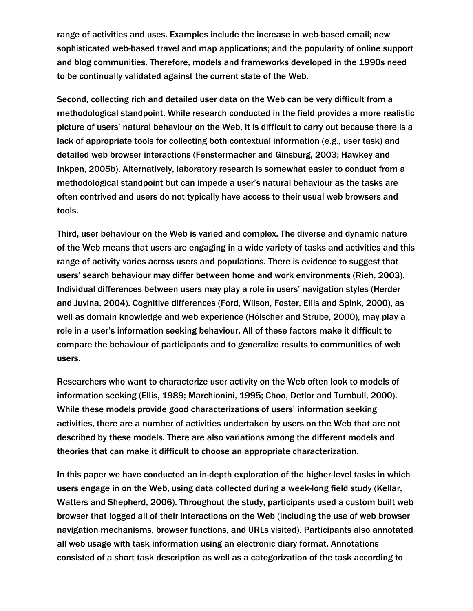range of activities and uses. Examples include the increase in web-based email; new sophisticated web-based travel and map applications; and the popularity of online support and blog communities. Therefore, models and frameworks developed in the 1990s need to be continually validated against the current state of the Web.

Second, collecting rich and detailed user data on the Web can be very difficult from a methodological standpoint. While research conducted in the field provides a more realistic picture of users' natural behaviour on the Web, it is difficult to carry out because there is a lack of appropriate tools for collecting both contextual information (e.g., user task) and detailed web browser interactions (Fenstermacher and Ginsburg, 2003; Hawkey and Inkpen, 2005b). Alternatively, laboratory research is somewhat easier to conduct from a methodological standpoint but can impede a user's natural behaviour as the tasks are often contrived and users do not typically have access to their usual web browsers and tools.

Third, user behaviour on the Web is varied and complex. The diverse and dynamic nature of the Web means that users are engaging in a wide variety of tasks and activities and this range of activity varies across users and populations. There is evidence to suggest that users' search behaviour may differ between home and work environments (Rieh, 2003). Individual differences between users may play a role in users' navigation styles (Herder and Juvina, 2004). Cognitive differences (Ford, Wilson, Foster, Ellis and Spink, 2000), as well as domain knowledge and web experience (Hölscher and Strube, 2000), may play a role in a user's information seeking behaviour. All of these factors make it difficult to compare the behaviour of participants and to generalize results to communities of web users.

Researchers who want to characterize user activity on the Web often look to models of information seeking (Ellis, 1989; Marchionini, 1995; Choo, Detlor and Turnbull, 2000). While these models provide good characterizations of users' information seeking activities, there are a number of activities undertaken by users on the Web that are not described by these models. There are also variations among the different models and theories that can make it difficult to choose an appropriate characterization.

In this paper we have conducted an in-depth exploration of the higher-level tasks in which users engage in on the Web, using data collected during a week-long field study (Kellar, Watters and Shepherd, 2006). Throughout the study, participants used a custom built web browser that logged all of their interactions on the Web (including the use of web browser navigation mechanisms, browser functions, and URLs visited). Participants also annotated all web usage with task information using an electronic diary format. Annotations consisted of a short task description as well as a categorization of the task according to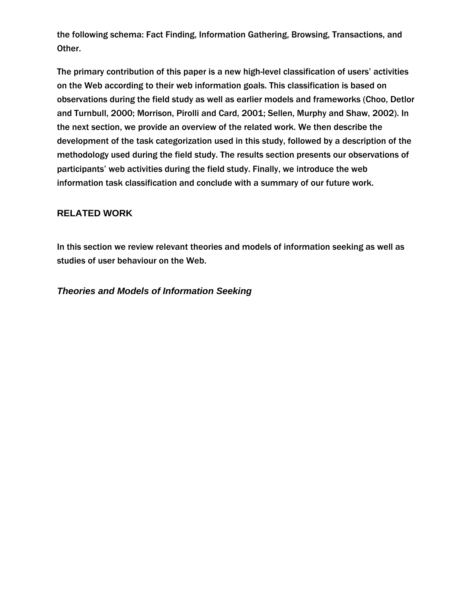the following schema: Fact Finding, Information Gathering, Browsing, Transactions, and Other.

The primary contribution of this paper is a new high-level classification of users' activities on the Web according to their web information goals. This classification is based on observations during the field study as well as earlier models and frameworks (Choo, Detlor and Turnbull, 2000; Morrison, Pirolli and Card, 2001; Sellen, Murphy and Shaw, 2002). In the next section, we provide an overview of the related work. We then describe the development of the task categorization used in this study, followed by a description of the methodology used during the field study. The results section presents our observations of participants' web activities during the field study. Finally, we introduce the web information task classification and conclude with a summary of our future work.

### **RELATED WORK**

In this section we review relevant theories and models of information seeking as well as studies of user behaviour on the Web.

*Theories and Models of Information Seeking*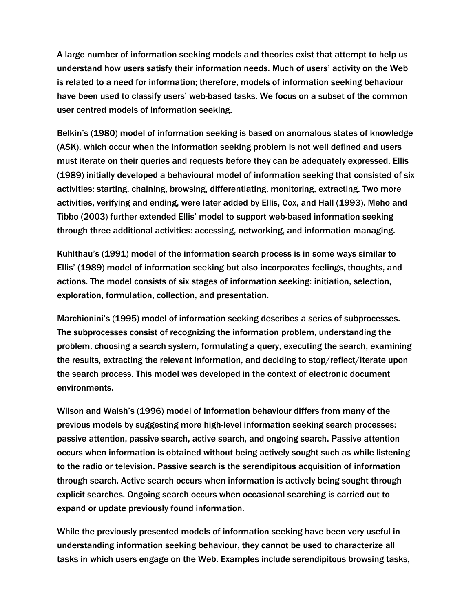A large number of information seeking models and theories exist that attempt to help us understand how users satisfy their information needs. Much of users' activity on the Web is related to a need for information; therefore, models of information seeking behaviour have been used to classify users' web-based tasks. We focus on a subset of the common user centred models of information seeking.

Belkin's (1980) model of information seeking is based on anomalous states of knowledge (ASK), which occur when the information seeking problem is not well defined and users must iterate on their queries and requests before they can be adequately expressed. Ellis (1989) initially developed a behavioural model of information seeking that consisted of six activities: starting, chaining, browsing, differentiating, monitoring, extracting. Two more activities, verifying and ending, were later added by Ellis, Cox, and Hall (1993). Meho and Tibbo (2003) further extended Ellis' model to support web-based information seeking through three additional activities: accessing, networking, and information managing.

Kuhlthau's (1991) model of the information search process is in some ways similar to Ellis' (1989) model of information seeking but also incorporates feelings, thoughts, and actions. The model consists of six stages of information seeking: initiation, selection, exploration, formulation, collection, and presentation.

Marchionini's (1995) model of information seeking describes a series of subprocesses. The subprocesses consist of recognizing the information problem, understanding the problem, choosing a search system, formulating a query, executing the search, examining the results, extracting the relevant information, and deciding to stop/reflect/iterate upon the search process. This model was developed in the context of electronic document environments.

Wilson and Walsh's (1996) model of information behaviour differs from many of the previous models by suggesting more high-level information seeking search processes: passive attention, passive search, active search, and ongoing search. Passive attention occurs when information is obtained without being actively sought such as while listening to the radio or television. Passive search is the serendipitous acquisition of information through search. Active search occurs when information is actively being sought through explicit searches. Ongoing search occurs when occasional searching is carried out to expand or update previously found information.

While the previously presented models of information seeking have been very useful in understanding information seeking behaviour, they cannot be used to characterize all tasks in which users engage on the Web. Examples include serendipitous browsing tasks,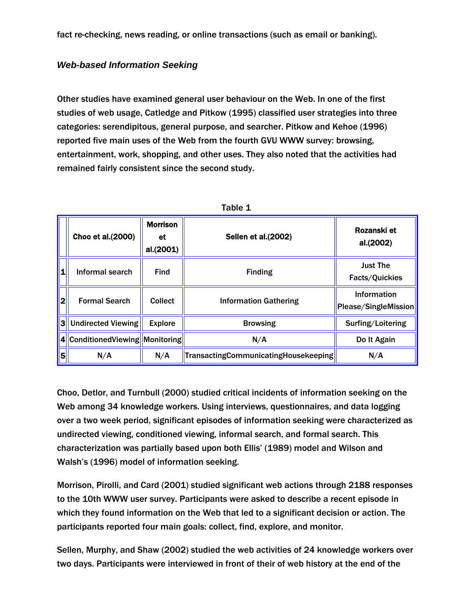fact re-checking, news reading, or online transactions (such as email or banking).

### *Web-based Information Seeking*

Other studies have examined general user behaviour on the Web. In one of the first studies of web usage, Catledge and Pitkow (1995) classified user strategies into three categories: serendipitous, general purpose, and searcher. Pitkow and Kehoe (1996) reported five main uses of the Web from the fourth GVU WWW survey: browsing, entertainment, work, shopping, and other uses. They also noted that the activities had remained fairly consistent since the second study.

|                   |                                      |                                    | Table 1                              |                                     |
|-------------------|--------------------------------------|------------------------------------|--------------------------------------|-------------------------------------|
|                   | Choo et al.(2000)                    | <b>Morrison</b><br>et<br>al.(2001) | <b>Sellen et al.(2002)</b>           | Rozanski et<br>al.(2002)            |
| 1                 | Informal search                      | <b>Find</b>                        | <b>Finding</b>                       | <b>Just The</b><br>Facts/Quickies   |
| 2                 | <b>Formal Search</b>                 | <b>Collect</b>                     | <b>Information Gathering</b>         | Information<br>Please/SingleMission |
| 3                 | <b>Undirected Viewing</b>            | <b>Explore</b>                     | <b>Browsing</b>                      | Surfing/Loitering                   |
| $\vert$ 4 $\vert$ | <b>ConditionedViewing Monitoring</b> |                                    | N/A                                  | Do It Again                         |
| 5                 | N/A                                  | N/A                                | TransactingCommunicatingHousekeeping | N/A                                 |

Choo, Detlor, and Turnbull (2000) studied critical incidents of information seeking on the Web among 34 knowledge workers. Using interviews, questionnaires, and data logging over a two week period, significant episodes of information seeking were characterized as undirected viewing, conditioned viewing, informal search, and formal search. This characterization was partially based upon both Ellis' (1989) model and Wilson and Walsh's (1996) model of information seeking.

Morrison, Pirolli, and Card (2001) studied significant web actions through 2188 responses to the 10th WWW user survey. Participants were asked to describe a recent episode in which they found information on the Web that led to a significant decision or action. The participants reported four main goals: collect, find, explore, and monitor.

Sellen, Murphy, and Shaw (2002) studied the web activities of 24 knowledge workers over two days. Participants were interviewed in front of their of web history at the end of the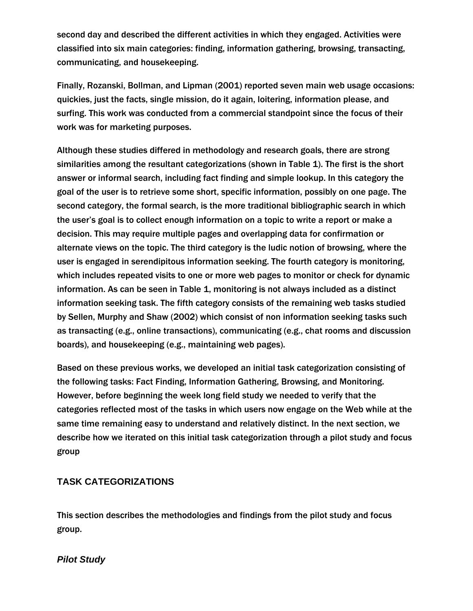second day and described the different activities in which they engaged. Activities were classified into six main categories: finding, information gathering, browsing, transacting, communicating, and housekeeping.

Finally, Rozanski, Bollman, and Lipman (2001) reported seven main web usage occasions: quickies, just the facts, single mission, do it again, loitering, information please, and surfing. This work was conducted from a commercial standpoint since the focus of their work was for marketing purposes.

Although these studies differed in methodology and research goals, there are strong similarities among the resultant categorizations (shown in Table 1). The first is the short answer or informal search, including fact finding and simple lookup. In this category the goal of the user is to retrieve some short, specific information, possibly on one page. The second category, the formal search, is the more traditional bibliographic search in which the user's goal is to collect enough information on a topic to write a report or make a decision. This may require multiple pages and overlapping data for confirmation or alternate views on the topic. The third category is the ludic notion of browsing, where the user is engaged in serendipitous information seeking. The fourth category is monitoring, which includes repeated visits to one or more web pages to monitor or check for dynamic information. As can be seen in Table 1, monitoring is not always included as a distinct information seeking task. The fifth category consists of the remaining web tasks studied by Sellen, Murphy and Shaw (2002) which consist of non information seeking tasks such as transacting (e.g., online transactions), communicating (e.g., chat rooms and discussion boards), and housekeeping (e.g., maintaining web pages).

Based on these previous works, we developed an initial task categorization consisting of the following tasks: Fact Finding, Information Gathering, Browsing, and Monitoring. However, before beginning the week long field study we needed to verify that the categories reflected most of the tasks in which users now engage on the Web while at the same time remaining easy to understand and relatively distinct. In the next section, we describe how we iterated on this initial task categorization through a pilot study and focus group

#### **TASK CATEGORIZATIONS**

This section describes the methodologies and findings from the pilot study and focus group.

#### *Pilot Study*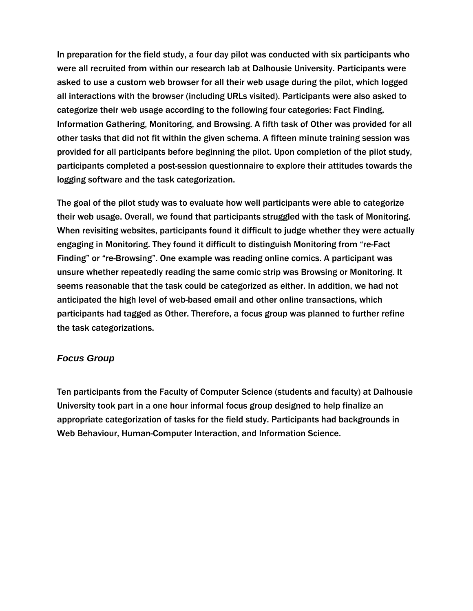In preparation for the field study, a four day pilot was conducted with six participants who were all recruited from within our research lab at Dalhousie University. Participants were asked to use a custom web browser for all their web usage during the pilot, which logged all interactions with the browser (including URLs visited). Participants were also asked to categorize their web usage according to the following four categories: Fact Finding, Information Gathering, Monitoring, and Browsing. A fifth task of Other was provided for all other tasks that did not fit within the given schema. A fifteen minute training session was provided for all participants before beginning the pilot. Upon completion of the pilot study, participants completed a post-session questionnaire to explore their attitudes towards the logging software and the task categorization.

The goal of the pilot study was to evaluate how well participants were able to categorize their web usage. Overall, we found that participants struggled with the task of Monitoring. When revisiting websites, participants found it difficult to judge whether they were actually engaging in Monitoring. They found it difficult to distinguish Monitoring from "re-Fact Finding" or "re-Browsing". One example was reading online comics. A participant was unsure whether repeatedly reading the same comic strip was Browsing or Monitoring. It seems reasonable that the task could be categorized as either. In addition, we had not anticipated the high level of web-based email and other online transactions, which participants had tagged as Other. Therefore, a focus group was planned to further refine the task categorizations.

#### *Focus Group*

Ten participants from the Faculty of Computer Science (students and faculty) at Dalhousie University took part in a one hour informal focus group designed to help finalize an appropriate categorization of tasks for the field study. Participants had backgrounds in Web Behaviour, Human-Computer Interaction, and Information Science.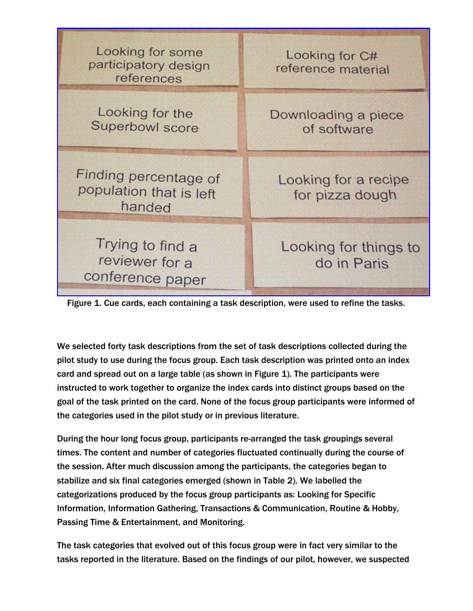| Looking for some<br>participatory design<br>references     | Looking for C#<br>reference material    |
|------------------------------------------------------------|-----------------------------------------|
| Looking for the<br>Superbowl score                         | Downloading a piece<br>of software      |
| Finding percentage of<br>population that is left<br>handed | Looking for a recipe<br>for pizza dough |
| Trying to find a<br>reviewer for a<br>conference paper     | Looking for things to<br>do in Paris    |

Figure 1. Cue cards, each containing a task description, were used to refine the tasks.

We selected forty task descriptions from the set of task descriptions collected during the pilot study to use during the focus group. Each task description was printed onto an index card and spread out on a large table (as shown in Figure 1). The participants were instructed to work together to organize the index cards into distinct groups based on the goal of the task printed on the card. None of the focus group participants were informed of the categories used in the pilot study or in previous literature.

During the hour long focus group, participants re-arranged the task groupings several times. The content and number of categories fluctuated continually during the course of the session. After much discussion among the participants, the categories began to stabilize and six final categories emerged (shown in Table 2). We labelled the categorizations produced by the focus group participants as: Looking for Specific Information, Information Gathering, Transactions & Communication, Routine & Hobby, Passing Time & Entertainment, and Monitoring.

The task categories that evolved out of this focus group were in fact very similar to the tasks reported in the literature. Based on the findings of our pilot, however, we suspected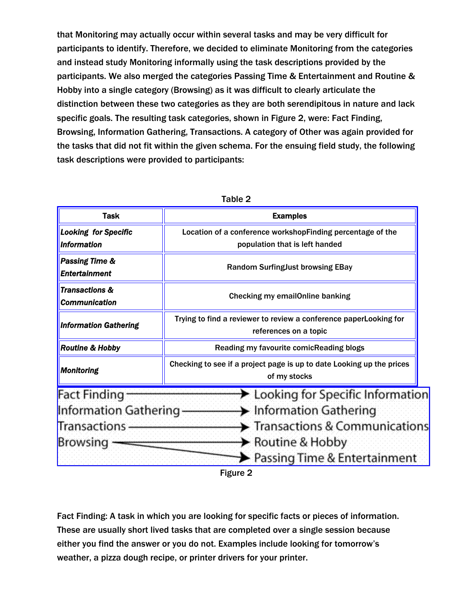that Monitoring may actually occur within several tasks and may be very difficult for participants to identify. Therefore, we decided to eliminate Monitoring from the categories and instead study Monitoring informally using the task descriptions provided by the participants. We also merged the categories Passing Time & Entertainment and Routine & Hobby into a single category (Browsing) as it was difficult to clearly articulate the distinction between these two categories as they are both serendipitous in nature and lack specific goals. The resulting task categories, shown in Figure 2, were: Fact Finding, Browsing, Information Gathering, Transactions. A category of Other was again provided for the tasks that did not fit within the given schema. For the ensuing field study, the following task descriptions were provided to participants:

| <b>Task</b>                                                                     | <b>Examples</b>                                                                                                                                                                                                                                             |  |
|---------------------------------------------------------------------------------|-------------------------------------------------------------------------------------------------------------------------------------------------------------------------------------------------------------------------------------------------------------|--|
| <b>Looking for Specific</b>                                                     | Location of a conference workshopFinding percentage of the                                                                                                                                                                                                  |  |
| <b>Information</b>                                                              | population that is left handed                                                                                                                                                                                                                              |  |
| <b>Passing Time &amp;</b><br><b>Entertainment</b>                               | <b>Random SurfingJust browsing EBay</b>                                                                                                                                                                                                                     |  |
| <b>Transactions &amp;</b><br><b>Communication</b>                               | <b>Checking my emailOnline banking</b>                                                                                                                                                                                                                      |  |
| <b>Information Gathering</b>                                                    | Trying to find a reviewer to review a conference paperLooking for<br>references on a topic                                                                                                                                                                  |  |
| <b>Routine &amp; Hobby</b>                                                      | Reading my favourite comicReading blogs                                                                                                                                                                                                                     |  |
| <b>Monitoring</b>                                                               | Checking to see if a project page is up to date Looking up the prices<br>of my stocks                                                                                                                                                                       |  |
| <b>Fact Finding</b><br><b>Information Gathering</b><br>Transactions<br>Browsing | $\blacktriangleright$ Looking for Specific Information<br>$\blacktriangleright$ Information Gathering<br>$\blacktriangleright$ Transactions & Communications<br>$\blacktriangleright$ Routine & Hobby<br>$\blacktriangleright$ Passing Time & Entertainment |  |
|                                                                                 | E1200000 O                                                                                                                                                                                                                                                  |  |

| able |  |
|------|--|
|------|--|

Figure 2

Fact Finding: A task in which you are looking for specific facts or pieces of information. These are usually short lived tasks that are completed over a single session because either you find the answer or you do not. Examples include looking for tomorrow's weather, a pizza dough recipe, or printer drivers for your printer.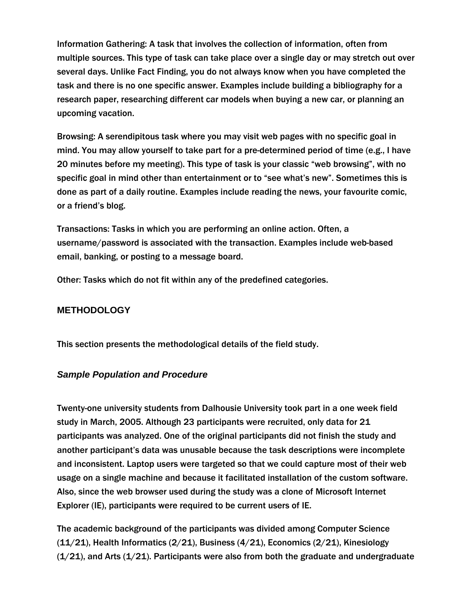Information Gathering: A task that involves the collection of information, often from multiple sources. This type of task can take place over a single day or may stretch out over several days. Unlike Fact Finding, you do not always know when you have completed the task and there is no one specific answer. Examples include building a bibliography for a research paper, researching different car models when buying a new car, or planning an upcoming vacation.

Browsing: A serendipitous task where you may visit web pages with no specific goal in mind. You may allow yourself to take part for a pre-determined period of time (e.g., I have 20 minutes before my meeting). This type of task is your classic "web browsing", with no specific goal in mind other than entertainment or to "see what's new". Sometimes this is done as part of a daily routine. Examples include reading the news, your favourite comic, or a friend's blog.

Transactions: Tasks in which you are performing an online action. Often, a username/password is associated with the transaction. Examples include web-based email, banking, or posting to a message board.

Other: Tasks which do not fit within any of the predefined categories.

## **METHODOLOGY**

This section presents the methodological details of the field study.

#### *Sample Population and Procedure*

Twenty-one university students from Dalhousie University took part in a one week field study in March, 2005. Although 23 participants were recruited, only data for 21 participants was analyzed. One of the original participants did not finish the study and another participant's data was unusable because the task descriptions were incomplete and inconsistent. Laptop users were targeted so that we could capture most of their web usage on a single machine and because it facilitated installation of the custom software. Also, since the web browser used during the study was a clone of Microsoft Internet Explorer (IE), participants were required to be current users of IE.

The academic background of the participants was divided among Computer Science (11/21), Health Informatics (2/21), Business (4/21), Economics (2/21), Kinesiology  $(1/21)$ , and Arts  $(1/21)$ . Participants were also from both the graduate and undergraduate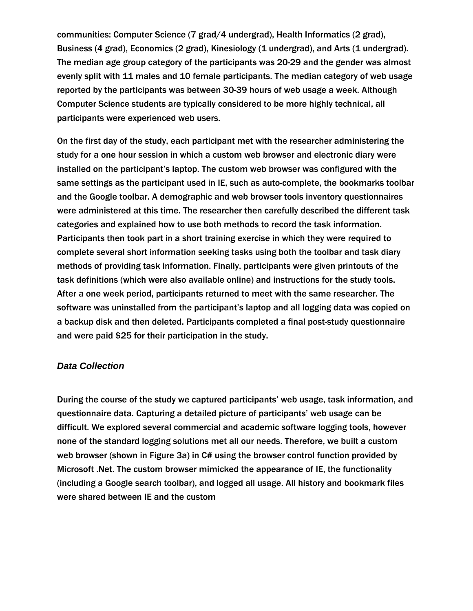communities: Computer Science (7 grad/4 undergrad), Health Informatics (2 grad), Business (4 grad), Economics (2 grad), Kinesiology (1 undergrad), and Arts (1 undergrad). The median age group category of the participants was 20-29 and the gender was almost evenly split with 11 males and 10 female participants. The median category of web usage reported by the participants was between 30-39 hours of web usage a week. Although Computer Science students are typically considered to be more highly technical, all participants were experienced web users.

On the first day of the study, each participant met with the researcher administering the study for a one hour session in which a custom web browser and electronic diary were installed on the participant's laptop. The custom web browser was configured with the same settings as the participant used in IE, such as auto-complete, the bookmarks toolbar and the Google toolbar. A demographic and web browser tools inventory questionnaires were administered at this time. The researcher then carefully described the different task categories and explained how to use both methods to record the task information. Participants then took part in a short training exercise in which they were required to complete several short information seeking tasks using both the toolbar and task diary methods of providing task information. Finally, participants were given printouts of the task definitions (which were also available online) and instructions for the study tools. After a one week period, participants returned to meet with the same researcher. The software was uninstalled from the participant's laptop and all logging data was copied on a backup disk and then deleted. Participants completed a final post-study questionnaire and were paid \$25 for their participation in the study.

#### *Data Collection*

During the course of the study we captured participants' web usage, task information, and questionnaire data. Capturing a detailed picture of participants' web usage can be difficult. We explored several commercial and academic software logging tools, however none of the standard logging solutions met all our needs. Therefore, we built a custom web browser (shown in Figure 3a) in C# using the browser control function provided by Microsoft .Net. The custom browser mimicked the appearance of IE, the functionality (including a Google search toolbar), and logged all usage. All history and bookmark files were shared between IE and the custom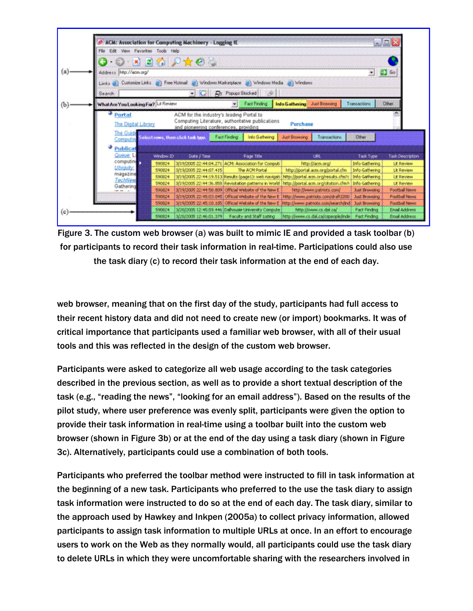

Figure 3. The custom web browser (a) was built to mimic IE and provided a task toolbar (b) for participants to record their task information in real-time. Participations could also use the task diary (c) to record their task information at the end of each day.

web browser, meaning that on the first day of the study, participants had full access to their recent history data and did not need to create new (or import) bookmarks. It was of critical importance that participants used a familiar web browser, with all of their usual tools and this was reflected in the design of the custom web browser.

Participants were asked to categorize all web usage according to the task categories described in the previous section, as well as to provide a short textual description of the task (e.g., "reading the news", "looking for an email address"). Based on the results of the pilot study, where user preference was evenly split, participants were given the option to provide their task information in real-time using a toolbar built into the custom web browser (shown in Figure 3b) or at the end of the day using a task diary (shown in Figure 3c). Alternatively, participants could use a combination of both tools.

Participants who preferred the toolbar method were instructed to fill in task information at the beginning of a new task. Participants who preferred to the use the task diary to assign task information were instructed to do so at the end of each day. The task diary, similar to the approach used by Hawkey and Inkpen (2005a) to collect privacy information, allowed participants to assign task information to multiple URLs at once. In an effort to encourage users to work on the Web as they normally would, all participants could use the task diary to delete URLs in which they were uncomfortable sharing with the researchers involved in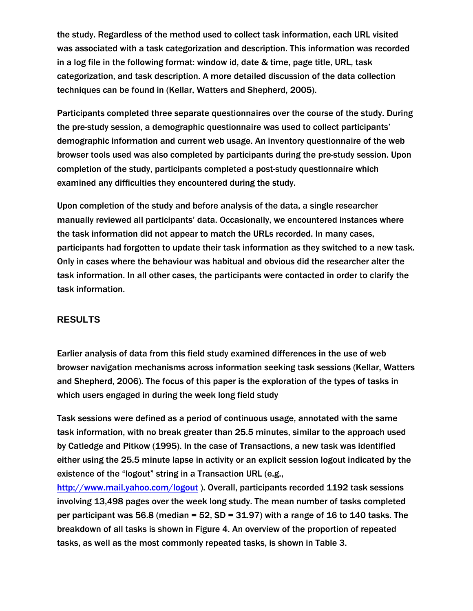the study. Regardless of the method used to collect task information, each URL visited was associated with a task categorization and description. This information was recorded in a log file in the following format: window id, date & time, page title, URL, task categorization, and task description. A more detailed discussion of the data collection techniques can be found in (Kellar, Watters and Shepherd, 2005).

Participants completed three separate questionnaires over the course of the study. During the pre-study session, a demographic questionnaire was used to collect participants' demographic information and current web usage. An inventory questionnaire of the web browser tools used was also completed by participants during the pre-study session. Upon completion of the study, participants completed a post-study questionnaire which examined any difficulties they encountered during the study.

Upon completion of the study and before analysis of the data, a single researcher manually reviewed all participants' data. Occasionally, we encountered instances where the task information did not appear to match the URLs recorded. In many cases, participants had forgotten to update their task information as they switched to a new task. Only in cases where the behaviour was habitual and obvious did the researcher alter the task information. In all other cases, the participants were contacted in order to clarify the task information.

#### **RESULTS**

Earlier analysis of data from this field study examined differences in the use of web browser navigation mechanisms across information seeking task sessions (Kellar, Watters and Shepherd, 2006). The focus of this paper is the exploration of the types of tasks in which users engaged in during the week long field study

Task sessions were defined as a period of continuous usage, annotated with the same task information, with no break greater than 25.5 minutes, similar to the approach used by Catledge and Pitkow (1995). In the case of Transactions, a new task was identified either using the 25.5 minute lapse in activity or an explicit session logout indicated by the existence of the "logout" string in a Transaction URL (e.g.,

http://www.mail.yahoo.com/logout ). Overall, participants recorded 1192 task sessions involving 13,498 pages over the week long study. The mean number of tasks completed per participant was 56.8 (median = 52,  $SD = 31.97$ ) with a range of 16 to 140 tasks. The breakdown of all tasks is shown in Figure 4. An overview of the proportion of repeated tasks, as well as the most commonly repeated tasks, is shown in Table 3.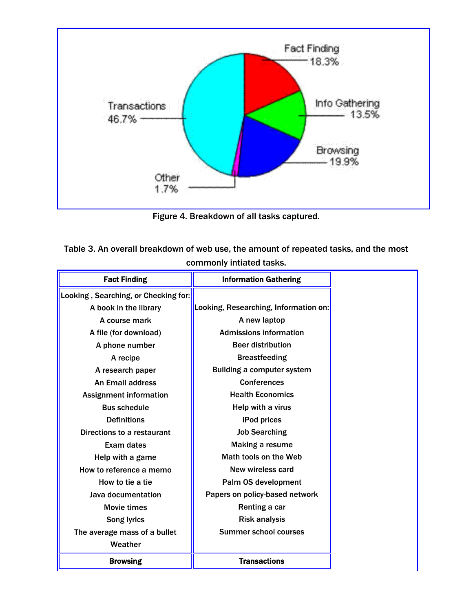

Figure 4. Breakdown of all tasks captured.

| Table 3. An overall breakdown of web use, the amount of repeated tasks, and the most |
|--------------------------------------------------------------------------------------|
| commonly intiated tasks.                                                             |

| <b>Fact Finding</b>                  | <b>Information Gathering</b>          |
|--------------------------------------|---------------------------------------|
| Looking, Searching, or Checking for: |                                       |
| A book in the library                | Looking, Researching, Information on: |
| A course mark                        | A new laptop                          |
| A file (for download)                | <b>Admissions information</b>         |
| A phone number                       | <b>Beer distribution</b>              |
| A recipe                             | <b>Breastfeeding</b>                  |
| A research paper                     | <b>Building a computer system</b>     |
| <b>An Email address</b>              | <b>Conferences</b>                    |
| <b>Assignment information</b>        | <b>Health Economics</b>               |
| <b>Bus schedule</b>                  | Help with a virus                     |
| <b>Definitions</b>                   | iPod prices                           |
| Directions to a restaurant           | <b>Job Searching</b>                  |
| Exam dates                           | Making a resume                       |
| Help with a game                     | Math tools on the Web                 |
| How to reference a memo              | New wireless card                     |
| How to tie a tie                     | Palm OS development                   |
| Java documentation                   | Papers on policy-based network        |
| Movie times                          | Renting a car                         |
| <b>Song lyrics</b>                   | <b>Risk analysis</b>                  |
| The average mass of a bullet         | <b>Summer school courses</b>          |
| Weather                              |                                       |
| <b>Browsing</b>                      | <b>Transactions</b>                   |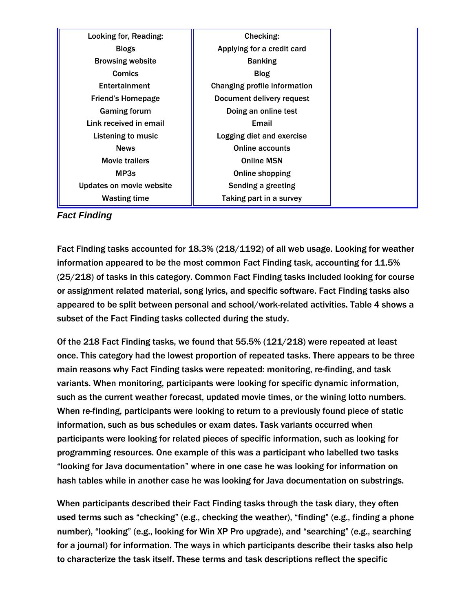| Looking for, Reading:    | Checking:                    |
|--------------------------|------------------------------|
| <b>Blogs</b>             | Applying for a credit card   |
| <b>Browsing website</b>  | <b>Banking</b>               |
| <b>Comics</b>            | <b>Blog</b>                  |
| Entertainment            | Changing profile information |
| Friend's Homepage        | Document delivery request    |
| <b>Gaming forum</b>      | Doing an online test         |
| Link received in email   | Email                        |
| Listening to music       | Logging diet and exercise    |
| <b>News</b>              | <b>Online accounts</b>       |
| <b>Movie trailers</b>    | <b>Online MSN</b>            |
| MP3s                     | Online shopping              |
| Updates on movie website | Sending a greeting           |
| <b>Wasting time</b>      | Taking part in a survey      |

*Fact Finding*

Fact Finding tasks accounted for 18.3% (218/1192) of all web usage. Looking for weather information appeared to be the most common Fact Finding task, accounting for 11.5% (25/218) of tasks in this category. Common Fact Finding tasks included looking for course or assignment related material, song lyrics, and specific software. Fact Finding tasks also appeared to be split between personal and school/work-related activities. Table 4 shows a subset of the Fact Finding tasks collected during the study.

Of the 218 Fact Finding tasks, we found that 55.5% (121/218) were repeated at least once. This category had the lowest proportion of repeated tasks. There appears to be three main reasons why Fact Finding tasks were repeated: monitoring, re-finding, and task variants. When monitoring, participants were looking for specific dynamic information, such as the current weather forecast, updated movie times, or the wining lotto numbers. When re-finding, participants were looking to return to a previously found piece of static information, such as bus schedules or exam dates. Task variants occurred when participants were looking for related pieces of specific information, such as looking for programming resources. One example of this was a participant who labelled two tasks "looking for Java documentation" where in one case he was looking for information on hash tables while in another case he was looking for Java documentation on substrings.

When participants described their Fact Finding tasks through the task diary, they often used terms such as "checking" (e.g., checking the weather), "finding" (e.g., finding a phone number), "looking" (e.g., looking for Win XP Pro upgrade), and "searching" (e.g., searching for a journal) for information. The ways in which participants describe their tasks also help to characterize the task itself. These terms and task descriptions reflect the specific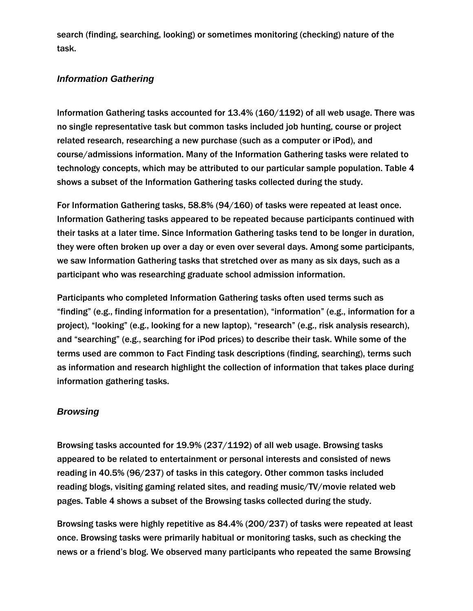search (finding, searching, looking) or sometimes monitoring (checking) nature of the task.

#### *Information Gathering*

Information Gathering tasks accounted for 13.4% (160/1192) of all web usage. There was no single representative task but common tasks included job hunting, course or project related research, researching a new purchase (such as a computer or iPod), and course/admissions information. Many of the Information Gathering tasks were related to technology concepts, which may be attributed to our particular sample population. Table 4 shows a subset of the Information Gathering tasks collected during the study.

For Information Gathering tasks, 58.8% (94/160) of tasks were repeated at least once. Information Gathering tasks appeared to be repeated because participants continued with their tasks at a later time. Since Information Gathering tasks tend to be longer in duration, they were often broken up over a day or even over several days. Among some participants, we saw Information Gathering tasks that stretched over as many as six days, such as a participant who was researching graduate school admission information.

Participants who completed Information Gathering tasks often used terms such as "finding" (e.g., finding information for a presentation), "information" (e.g., information for a project), "looking" (e.g., looking for a new laptop), "research" (e.g., risk analysis research), and "searching" (e.g., searching for iPod prices) to describe their task. While some of the terms used are common to Fact Finding task descriptions (finding, searching), terms such as information and research highlight the collection of information that takes place during information gathering tasks.

#### *Browsing*

Browsing tasks accounted for 19.9% (237/1192) of all web usage. Browsing tasks appeared to be related to entertainment or personal interests and consisted of news reading in 40.5% (96/237) of tasks in this category. Other common tasks included reading blogs, visiting gaming related sites, and reading music/TV/movie related web pages. Table 4 shows a subset of the Browsing tasks collected during the study.

Browsing tasks were highly repetitive as 84.4% (200/237) of tasks were repeated at least once. Browsing tasks were primarily habitual or monitoring tasks, such as checking the news or a friend's blog. We observed many participants who repeated the same Browsing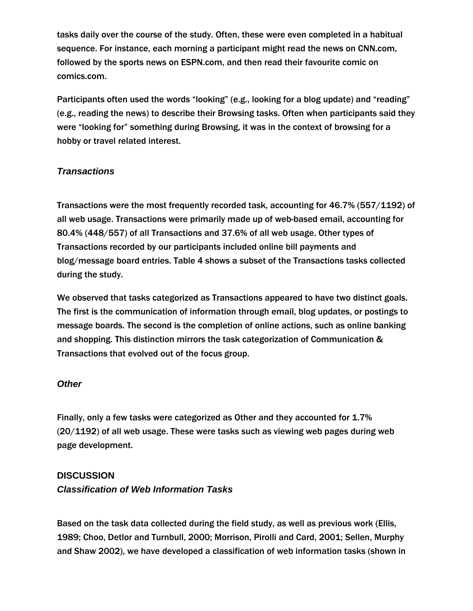tasks daily over the course of the study. Often, these were even completed in a habitual sequence. For instance, each morning a participant might read the news on CNN.com, followed by the sports news on ESPN.com, and then read their favourite comic on comics.com.

Participants often used the words "looking" (e.g., looking for a blog update) and "reading" (e.g., reading the news) to describe their Browsing tasks. Often when participants said they were "looking for" something during Browsing, it was in the context of browsing for a hobby or travel related interest.

### *Transactions*

Transactions were the most frequently recorded task, accounting for 46.7% (557/1192) of all web usage. Transactions were primarily made up of web-based email, accounting for 80.4% (448/557) of all Transactions and 37.6% of all web usage. Other types of Transactions recorded by our participants included online bill payments and blog/message board entries. Table 4 shows a subset of the Transactions tasks collected during the study.

We observed that tasks categorized as Transactions appeared to have two distinct goals. The first is the communication of information through email, blog updates, or postings to message boards. The second is the completion of online actions, such as online banking and shopping. This distinction mirrors the task categorization of Communication & Transactions that evolved out of the focus group.

#### *Other*

Finally, only a few tasks were categorized as Other and they accounted for 1.7% (20/1192) of all web usage. These were tasks such as viewing web pages during web page development.

#### **DISCUSSION**

#### *Classification of Web Information Tasks*

Based on the task data collected during the field study, as well as previous work (Ellis, 1989; Choo, Detlor and Turnbull, 2000; Morrison, Pirolli and Card, 2001; Sellen, Murphy and Shaw 2002), we have developed a classification of web information tasks (shown in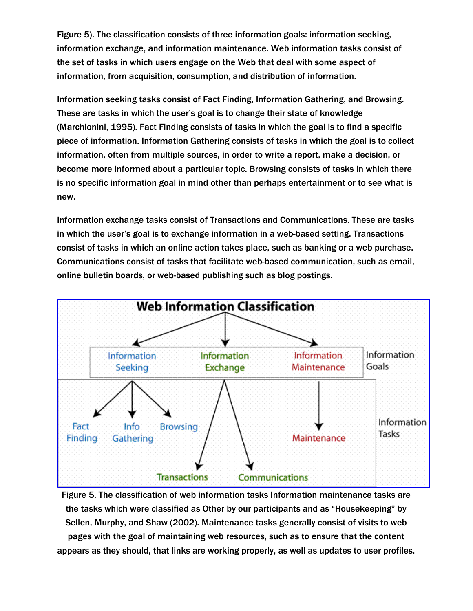Figure 5). The classification consists of three information goals: information seeking, information exchange, and information maintenance. Web information tasks consist of the set of tasks in which users engage on the Web that deal with some aspect of information, from acquisition, consumption, and distribution of information.

Information seeking tasks consist of Fact Finding, Information Gathering, and Browsing. These are tasks in which the user's goal is to change their state of knowledge (Marchionini, 1995). Fact Finding consists of tasks in which the goal is to find a specific piece of information. Information Gathering consists of tasks in which the goal is to collect information, often from multiple sources, in order to write a report, make a decision, or become more informed about a particular topic. Browsing consists of tasks in which there is no specific information goal in mind other than perhaps entertainment or to see what is new.

Information exchange tasks consist of Transactions and Communications. These are tasks in which the user's goal is to exchange information in a web-based setting. Transactions consist of tasks in which an online action takes place, such as banking or a web purchase. Communications consist of tasks that facilitate web-based communication, such as email, online bulletin boards, or web-based publishing such as blog postings.



Figure 5. The classification of web information tasks Information maintenance tasks are the tasks which were classified as Other by our participants and as "Housekeeping" by Sellen, Murphy, and Shaw (2002). Maintenance tasks generally consist of visits to web pages with the goal of maintaining web resources, such as to ensure that the content appears as they should, that links are working properly, as well as updates to user profiles.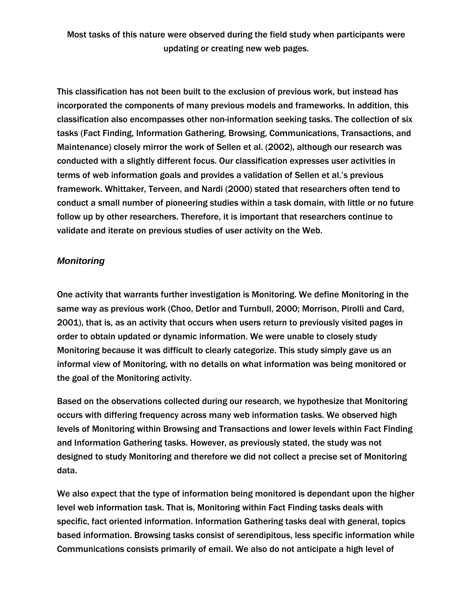Most tasks of this nature were observed during the field study when participants were updating or creating new web pages.

This classification has not been built to the exclusion of previous work, but instead has incorporated the components of many previous models and frameworks. In addition, this classification also encompasses other non-information seeking tasks. The collection of six tasks (Fact Finding, Information Gathering, Browsing, Communications, Transactions, and Maintenance) closely mirror the work of Sellen et al. (2002), although our research was conducted with a slightly different focus. Our classification expresses user activities in terms of web information goals and provides a validation of Sellen et al.'s previous framework. Whittaker, Terveen, and Nardi (2000) stated that researchers often tend to conduct a small number of pioneering studies within a task domain, with little or no future follow up by other researchers. Therefore, it is important that researchers continue to validate and iterate on previous studies of user activity on the Web.

#### *Monitoring*

One activity that warrants further investigation is Monitoring. We define Monitoring in the same way as previous work (Choo, Detlor and Turnbull, 2000; Morrison, Pirolli and Card, 2001), that is, as an activity that occurs when users return to previously visited pages in order to obtain updated or dynamic information. We were unable to closely study Monitoring because it was difficult to clearly categorize. This study simply gave us an informal view of Monitoring, with no details on what information was being monitored or the goal of the Monitoring activity.

Based on the observations collected during our research, we hypothesize that Monitoring occurs with differing frequency across many web information tasks. We observed high levels of Monitoring within Browsing and Transactions and lower levels within Fact Finding and Information Gathering tasks. However, as previously stated, the study was not designed to study Monitoring and therefore we did not collect a precise set of Monitoring data.

We also expect that the type of information being monitored is dependant upon the higher level web information task. That is, Monitoring within Fact Finding tasks deals with specific, fact oriented information. Information Gathering tasks deal with general, topics based information. Browsing tasks consist of serendipitous, less specific information while Communications consists primarily of email. We also do not anticipate a high level of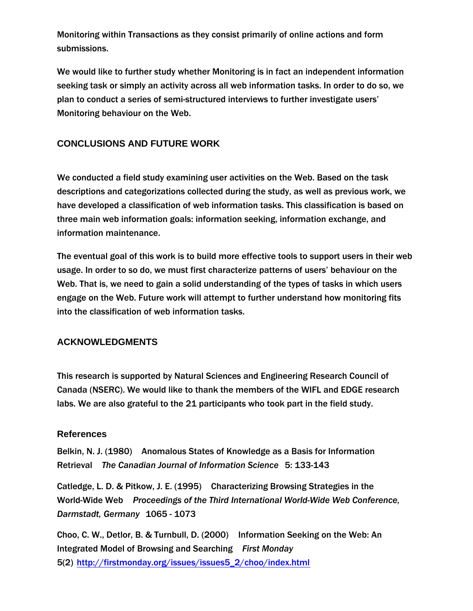Monitoring within Transactions as they consist primarily of online actions and form submissions.

We would like to further study whether Monitoring is in fact an independent information seeking task or simply an activity across all web information tasks. In order to do so, we plan to conduct a series of semi-structured interviews to further investigate users' Monitoring behaviour on the Web.

## **CONCLUSIONS AND FUTURE WORK**

We conducted a field study examining user activities on the Web. Based on the task descriptions and categorizations collected during the study, as well as previous work, we have developed a classification of web information tasks. This classification is based on three main web information goals: information seeking, information exchange, and information maintenance.

The eventual goal of this work is to build more effective tools to support users in their web usage. In order to so do, we must first characterize patterns of users' behaviour on the Web. That is, we need to gain a solid understanding of the types of tasks in which users engage on the Web. Future work will attempt to further understand how monitoring fits into the classification of web information tasks.

#### **ACKNOWLEDGMENTS**

This research is supported by Natural Sciences and Engineering Research Council of Canada (NSERC). We would like to thank the members of the WIFL and EDGE research labs. We are also grateful to the 21 participants who took part in the field study.

#### **References**

Belkin, N. J. (1980) Anomalous States of Knowledge as a Basis for Information Retrieval *The Canadian Journal of Information Science* 5: 133-143

Catledge, L. D. & Pitkow, J. E. (1995) Characterizing Browsing Strategies in the World-Wide Web *Proceedings of the Third International World-Wide Web Conference, Darmstadt, Germany* 1065 - 1073

Choo, C. W., Detlor, B. & Turnbull, D. (2000) Information Seeking on the Web: An Integrated Model of Browsing and Searching *First Monday* 5(2) http://firstmonday.org/issues/issues5\_2/choo/index.html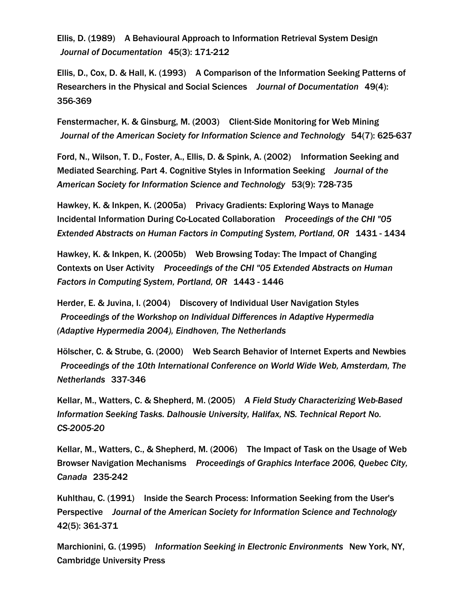Ellis, D. (1989) A Behavioural Approach to Information Retrieval System Design *Journal of Documentation* 45(3): 171-212

Ellis, D., Cox, D. & Hall, K. (1993) A Comparison of the Information Seeking Patterns of Researchers in the Physical and Social Sciences *Journal of Documentation* 49(4): 356-369

Fenstermacher, K. & Ginsburg, M. (2003) Client-Side Monitoring for Web Mining *Journal of the American Society for Information Science and Technology* 54(7): 625-637

Ford, N., Wilson, T. D., Foster, A., Ellis, D. & Spink, A. (2002) Information Seeking and Mediated Searching. Part 4. Cognitive Styles in Information Seeking *Journal of the American Society for Information Science and Technology* 53(9): 728-735

Hawkey, K. & Inkpen, K. (2005a) Privacy Gradients: Exploring Ways to Manage Incidental Information During Co-Located Collaboration *Proceedings of the CHI "05 Extended Abstracts on Human Factors in Computing System, Portland, OR* 1431 - 1434

Hawkey, K. & Inkpen, K. (2005b) Web Browsing Today: The Impact of Changing Contexts on User Activity *Proceedings of the CHI "05 Extended Abstracts on Human Factors in Computing System, Portland, OR* 1443 - 1446

Herder, E. & Juvina, I. (2004) Discovery of Individual User Navigation Styles *Proceedings of the Workshop on Individual Differences in Adaptive Hypermedia (Adaptive Hypermedia 2004), Eindhoven, The Netherlands*

Hölscher, C. & Strube, G. (2000) Web Search Behavior of Internet Experts and Newbies *Proceedings of the 10th International Conference on World Wide Web, Amsterdam, The Netherlands* 337-346

Kellar, M., Watters, C. & Shepherd, M. (2005) *A Field Study Characterizing Web-Based Information Seeking Tasks. Dalhousie University, Halifax, NS. Technical Report No. CS-2005-20*

Kellar, M., Watters, C., & Shepherd, M. (2006) The Impact of Task on the Usage of Web Browser Navigation Mechanisms *Proceedings of Graphics Interface 2006, Quebec City, Canada* 235-242

Kuhlthau, C. (1991) Inside the Search Process: Information Seeking from the User's Perspective *Journal of the American Society for Information Science and Technology* 42(5): 361-371

Marchionini, G. (1995) *Information Seeking in Electronic Environments* New York, NY, Cambridge University Press